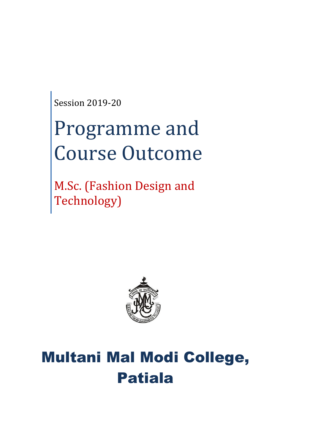Session 2019-20

# Programme and Course Outcome

M.Sc. (Fashion Design and Technology)



# Multani Mal Modi College, Patiala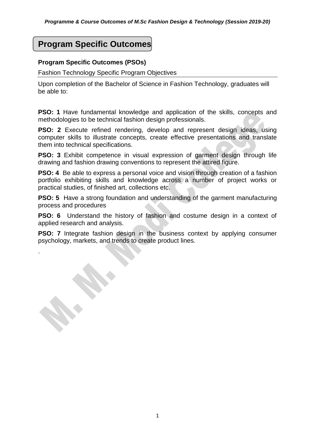# **Program Specific Outcomes**

#### **Program Specific Outcomes (PSOs)**

.

Fashion Technology Specific Program Objectives

Upon completion of the Bachelor of Science in Fashion Technology, graduates will be able to:

**PSO: 1** Have fundamental knowledge and application of the skills, concepts and methodologies to be technical fashion design professionals.

**PSO: 2** Execute refined rendering, develop and represent design ideas, using computer skills to illustrate concepts, create effective presentations and translate them into technical specifications.

**PSO: 3** Exhibit competence in visual expression of garment design through life drawing and fashion drawing conventions to represent the attired figure.

**PSO: 4** Be able to express a personal voice and vision through creation of a fashion portfolio exhibiting skills and knowledge across a number of project works or practical studies, of finished art, collections etc.

**PSO: 5** Have a strong foundation and understanding of the garment manufacturing process and procedures

**PSO: 6** Understand the history of fashion and costume design in a context of applied research and analysis.

**PSO: 7** Integrate fashion design in the business context by applying consumer psychology, markets, and trends to create product lines.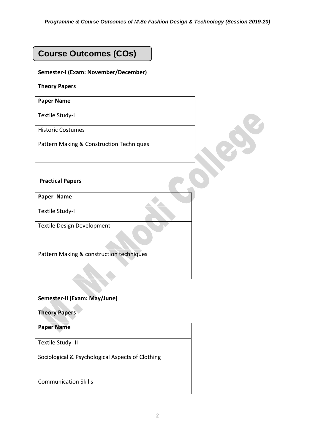# **Course Outcomes (COs)**

#### **Semester-I (Exam: November/December)**

#### **Theory Papers**

**Paper Name**

Textile Study-I

Historic Costumes

Pattern Making & Construction Techniques

#### **Practical Papers**

**Paper Name**

Textile Study-I

Textile Design Development

Pattern Making & construction techniques

#### **Semester-II (Exam: May/June)**

**Theory Papers**

**Paper Name** Textile Study -II Sociological & Psychological Aspects of Clothing Communication Skills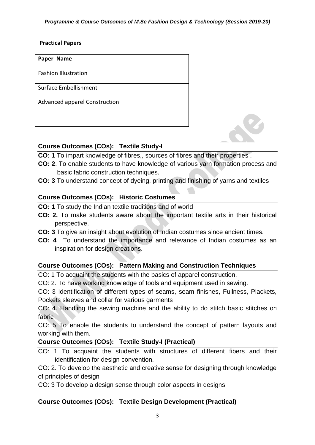#### **Practical Papers**

| Paper Name                    |
|-------------------------------|
| <b>Fashion Illustration</b>   |
| Surface Embellishment         |
| Advanced apparel Construction |

#### **Course Outcomes (COs): Textile Study-I**

- **CO: 1** To impart knowledge of fibres,, sources of fibres and their properties .
- **CO: 2**. To enable students to have knowledge of various yarn formation process and basic fabric construction techniques.
- **CO: 3** To understand concept of dyeing, printing and finishing of yarns and textiles

#### **Course Outcomes (COs): Historic Costumes**

**CO: 1** To study the Indian textile traditions and of world

- **CO: 2.** To make students aware about the important textile arts in their historical perspective.
- **CO: 3** To give an insight about evolution of Indian costumes since ancient times.
- **CO: 4** To understand the importance and relevance of Indian costumes as an inspiration for design creations.

#### **Course Outcomes (COs): Pattern Making and Construction Techniques**

CO: 1 To acquaint the students with the basics of apparel construction.

CO: 2. To have working knowledge of tools and equipment used in sewing.

CO: 3 Identification of different types of seams, seam finishes, Fullness, Plackets, Pockets sleeves and collar for various garments

CO: 4. Handling the sewing machine and the ability to do stitch basic stitches on fabric

CO: 5 To enable the students to understand the concept of pattern layouts and working with them.

#### **Course Outcomes (COs): Textile Study-I (Practical)**

CO: 1 To acquaint the students with structures of different fibers and their identification for design convention.

CO: 2. To develop the aesthetic and creative sense for designing through knowledge of principles of design

CO: 3 To develop a design sense through color aspects in designs

#### **Course Outcomes (COs): Textile Design Development (Practical)**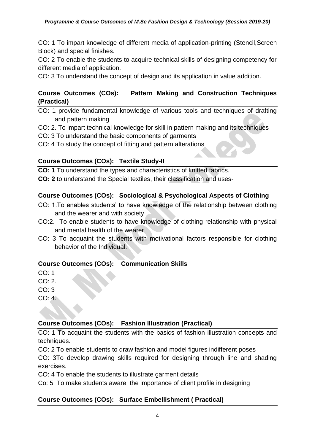CO: 1 To impart knowledge of different media of application-printing (Stencil,Screen Block) and special finishes.

CO: 2 To enable the students to acquire technical skills of designing competency for different media of application.

CO: 3 To understand the concept of design and its application in value addition.

#### **Course Outcomes (COs): Pattern Making and Construction Techniques (Practical)**

- CO: 1 provide fundamental knowledge of various tools and techniques of drafting and pattern making
- CO: 2. To impart technical knowledge for skill in pattern making and its techniques
- CO: 3 To understand the basic components of garments
- CO: 4 To study the concept of fitting and pattern alterations

#### **Course Outcomes (COs): Textile Study-II**

**CO: 1** To understand the types and characteristics of knitted fabrics.

**CO: 2** to understand the Special textiles, their classification and uses-

#### **Course Outcomes (COs): Sociological & Psychological Aspects of Clothing**

- CO: 1.To enables students' to have knowledge of the relationship between clothing and the wearer and with society
- CO:2. To enable students to have knowledge of clothing relationship with physical and mental health of the wearer
- CO: 3 To acquaint the students with motivational factors responsible for clothing behavior of the Individual.

#### **Course Outcomes (COs): Communication Skills**

 $CO: 1$ 

 $CO: 2.$ 

CO: 3

CO: 4.

#### **Course Outcomes (COs): Fashion Illustration (Practical)**

CO: 1 To acquaint the students with the basics of fashion illustration concepts and techniques.

CO: 2 To enable students to draw fashion and model figures indifferent poses

CO: 3To develop drawing skills required for designing through line and shading exercises.

CO: 4 To enable the students to illustrate garment details

Co: 5 To make students aware the importance of client profile in designing

#### **Course Outcomes (COs): Surface Embellishment ( Practical)**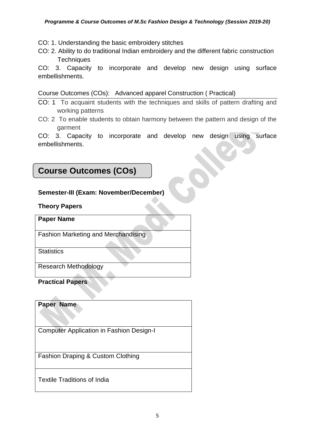CO: 1. Understanding the basic embroidery stitches

CO: 2. Ability to do traditional Indian embroidery and the different fabric construction **Techniques** 

CO: 3. Capacity to incorporate and develop new design using surface embellishments.

Course Outcomes (COs): Advanced apparel Construction ( Practical)

- CO: 1 To acquaint students with the techniques and skills of pattern drafting and working patterns
- CO: 2 To enable students to obtain harmony between the pattern and design of the garment

CO: 3. Capacity to incorporate and develop new design using surface embellishments.

# **Course Outcomes (COs)**

#### **Semester-III (Exam: November/December)**

#### **Theory Papers**

Fashion Marketing and Merchandising

**Statistics** 

Research Methodology

**Practical Papers** 

**Paper Name**

Computer Application in Fashion Design-I

Fashion Draping & Custom Clothing

[Textile Traditions of India](https://artsandculture.google.com/exhibit/ygIiGpAdNNCGKQ)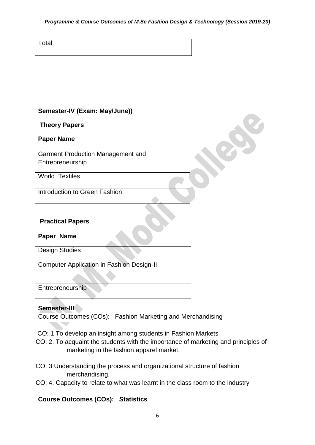#### *Programme & Course Outcomes of M.Sc Fashion Design & Technology (Session 2019-20)*

**Total** 

#### **Semester-IV (Exam: May/June))**

**Theory Papers**

Garment Production Management and Entrepreneurship

World Textiles

Introduction to Green Fashion

#### **Practical Papers**

## **Paper Name**

Design Studies

Computer Application in Fashion Design-II

Entrepreneurship

#### **Semester-III**

.

Course Outcomes (COs): Fashion Marketing and Merchandising

CO: 1 To develop an insight among students in Fashion Markets

- CO: 2. To acquaint the students with the importance of marketing and principles of marketing in the fashion apparel market.
- CO: 3 Understanding the process and organizational structure of fashion merchandising.
- CO: 4. Capacity to relate to what was learnt in the class room to the industry

### **Course Outcomes (COs): Statistics**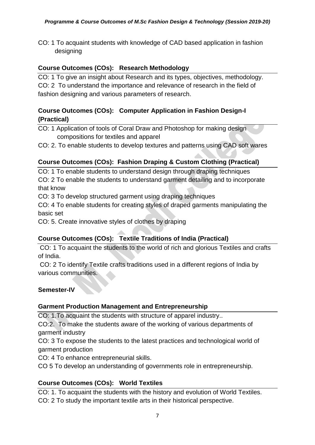CO: 1 To acquaint students with knowledge of CAD based application in fashion designing

#### **Course Outcomes (COs): Research Methodology**

CO: 1 To give an insight about Research and its types, objectives, methodology. CO: 2 To understand the importance and relevance of research in the field of fashion designing and various parameters of research.

#### **Course Outcomes (COs): Computer Application in Fashion Design-I (Practical)**

CO: 1 Application of tools of Coral Draw and Photoshop for making design compositions for textiles and apparel

CO: 2. To enable students to develop textures and patterns using CAD soft wares

#### **Course Outcomes (COs): Fashion Draping & Custom Clothing (Practical)**

CO: 1 To enable students to understand design through draping techniques CO: 2 To enable the students to understand garment detailing and to incorporate that know

CO: 3 To develop structured garment using draping techniques

CO: 4 To enable students for creating styles of draped garments manipulating the basic set

CO: 5. Create innovative styles of clothes by draping

#### **Course Outcomes (COs): Textile Traditions of India (Practical)**

CO: 1 To acquaint the students to the world of rich and glorious Textiles and crafts of India.

CO: 2 To identify Textile crafts traditions used in a different regions of India by various communities.

#### **Semester-IV**

#### **Garment Production Management and Entrepreneurship**

CO: 1.To acquaint the students with structure of apparel industry..

CO:2. To make the students aware of the working of various departments of garment industry

CO: 3 To expose the students to the latest practices and technological world of garment production

CO: 4 To enhance entrepreneurial skills.

CO 5 To develop an understanding of governments role in entrepreneurship.

#### **Course Outcomes (COs): World Textiles**

CO: 1. To acquaint the students with the history and evolution of World Textiles. CO: 2 To study the important textile arts in their historical perspective.